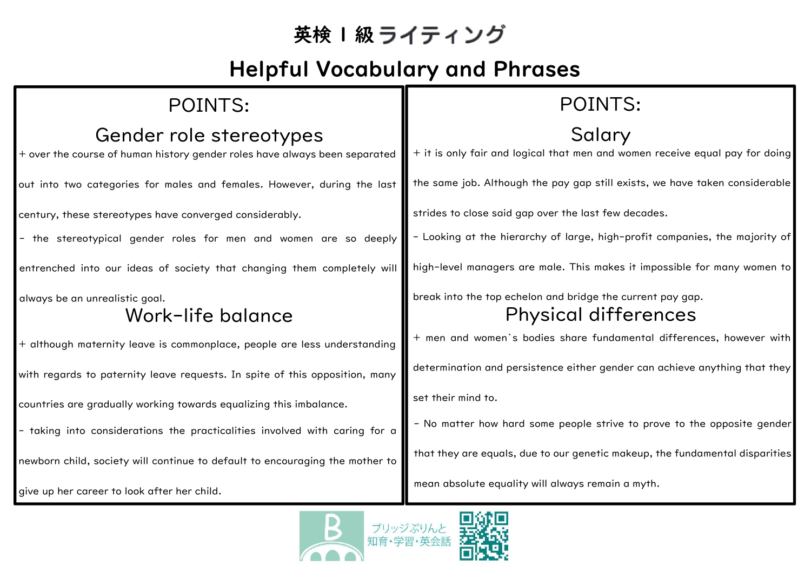## 英検 1級ライティング

## Helpful Vocabulary and Phrases

| POINTS:                                                                                               | POINTS:                                                                                   |
|-------------------------------------------------------------------------------------------------------|-------------------------------------------------------------------------------------------|
| Gender role stereotypes<br>+ over the course of human history gender roles have always been separated | Salary<br>+ it is only fair and logical that men and women receive equal pay for doing    |
| out into two categories for males and females. However, during the last                               | the same job. Although the pay gap still exists, we have taken considerable               |
| century, these stereotypes have converged considerably.                                               | strides to close said gap over the last few decades.                                      |
| - the stereotypical gender roles for men and women are so deeply                                      | - Looking at the hierarchy of large, high-profit companies, the majority of               |
| entrenched into our ideas of society that changing them completely will                               | high-level managers are male. This makes it impossible for many women to                  |
| always be an unrealistic goal.<br>Work-life balance                                                   | break into the top echelon and bridge the current pay gap.<br><b>Physical differences</b> |
| + although maternity leave is commonplace, people are less understanding                              | + men and women's bodies share fundamental differences, however with                      |
| with regards to paternity leave requests. In spite of this opposition, many                           | determination and persistence either gender can achieve anything that they                |
| countries are gradually working towards equalizing this imbalance.                                    | set their mind to.                                                                        |
| - taking into considerations the practicalities involved with caring for a                            | - No matter how hard some people strive to prove to the opposite gender                   |
| newborn child, society will continue to default to encouraging the mother to                          | that they are equals, due to our genetic makeup, the fundamental disparities              |
| give up her career to look after her child.                                                           | mean absolute equality will always remain a myth.                                         |